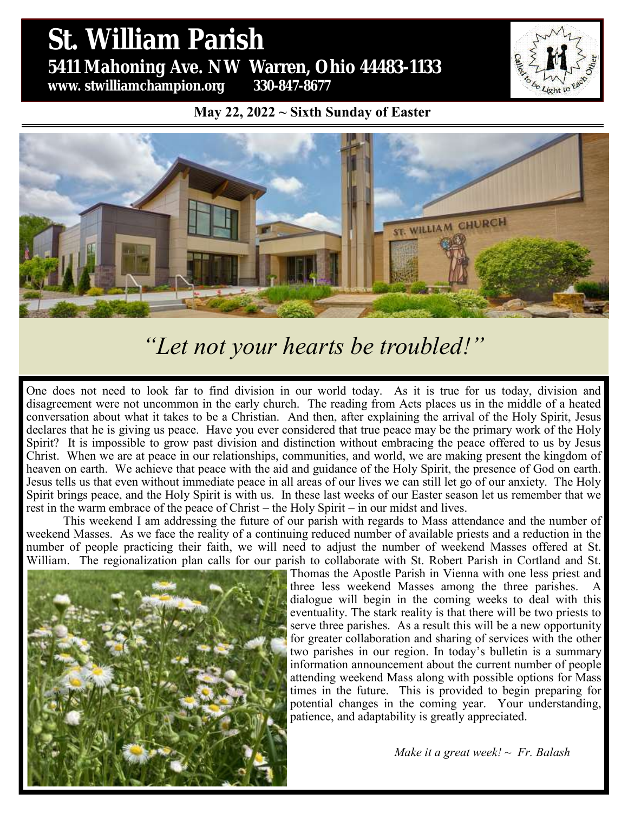# St. William Parish **St. William Parish** 5431 Mahoning Ave. NW Warren, Ohio 44483 **5411 Mahoning Ave. NW Warren, Ohio 44483-1133 www. stwilliamchampion.org 330-847-8677**

### **May 22, 2022 ~ Sixth Sunday of Easter**



# *"Let not your hearts be troubled!"*

One does not need to look far to find division in our world today. As it is true for us today, division and disagreement were not uncommon in the early church. The reading from Acts places us in the middle of a heated conversation about what it takes to be a Christian. And then, after explaining the arrival of the Holy Spirit, Jesus declares that he is giving us peace. Have you ever considered that true peace may be the primary work of the Holy Spirit? It is impossible to grow past division and distinction without embracing the peace offered to us by Jesus Christ. When we are at peace in our relationships, communities, and world, we are making present the kingdom of heaven on earth. We achieve that peace with the aid and guidance of the Holy Spirit, the presence of God on earth. Jesus tells us that even without immediate peace in all areas of our lives we can still let go of our anxiety. The Holy Spirit brings peace, and the Holy Spirit is with us. In these last weeks of our Easter season let us remember that we rest in the warm embrace of the peace of Christ – the Holy Spirit – in our midst and lives.

This weekend I am addressing the future of our parish with regards to Mass attendance and the number of weekend Masses. As we face the reality of a continuing reduced number of available priests and a reduction in the number of people practicing their faith, we will need to adjust the number of weekend Masses offered at St. William. The regionalization plan calls for our parish to collaborate with St. Robert Parish in Cortland and St.



Thomas the Apostle Parish in Vienna with one less priest and three less weekend Masses among the three parishes. A dialogue will begin in the coming weeks to deal with this eventuality. The stark reality is that there will be two priests to serve three parishes. As a result this will be a new opportunity for greater collaboration and sharing of services with the other two parishes in our region. In today's bulletin is a summary information announcement about the current number of people attending weekend Mass along with possible options for Mass times in the future. This is provided to begin preparing for potential changes in the coming year. Your understanding, patience, and adaptability is greatly appreciated.

*Make it a great week! ~ Fr. Balash*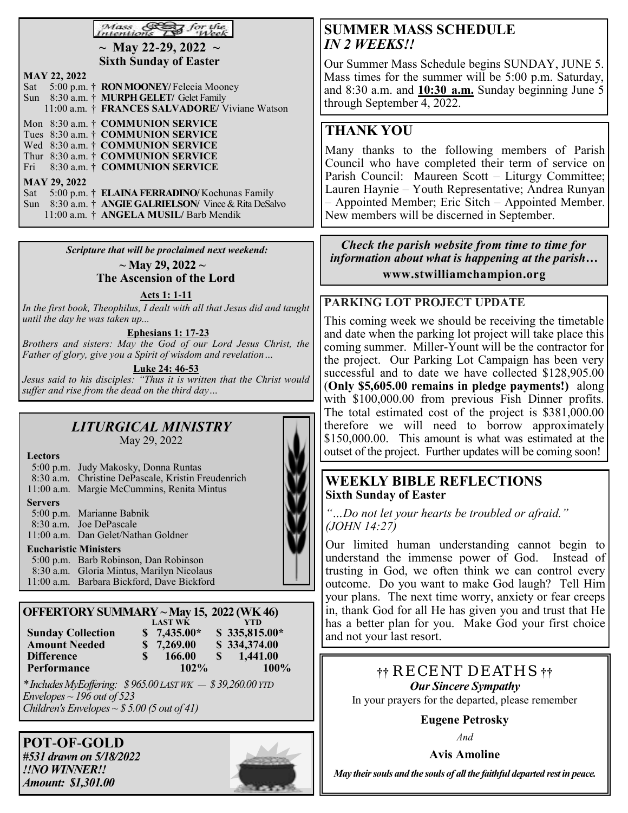#### Mass<br>Intentions  $\beta$  for the

**~ May 22-29, 2022 ~ Sixth Sunday of Easter**

| <b>MAY 22, 2022</b>                                    |  |  |  |  |
|--------------------------------------------------------|--|--|--|--|
| Sat 5:00 p.m. † RON MOONEY/Felecia Mooney              |  |  |  |  |
| Sun 8:30 a.m. † MURPH GELET/ Gelet Family              |  |  |  |  |
| 11:00 a.m. † FRANCES SALVADORE/ Viviane Watson         |  |  |  |  |
| Mon 8:30 a.m. † COMMUNION SERVICE                      |  |  |  |  |
| Tues 8:30 a.m. † COMMUNION SERVICE                     |  |  |  |  |
| Wed 8:30 a.m. † COMMUNION SERVICE                      |  |  |  |  |
| Thur 8:30 a.m. † COMMUNION SERVICE                     |  |  |  |  |
| Fri 8:30 a.m. † COMMUNION SERVICE                      |  |  |  |  |
| <b>MAY 29, 2022</b>                                    |  |  |  |  |
| Sat 5:00 p.m. † ELAINA FERRADINO/Kochunas Family       |  |  |  |  |
| Sun 8:30 a.m. † ANGIE GALRIELSON/ Vince & Rita DeSalvo |  |  |  |  |
| 11:00 a.m. † ANGELA MUSIL/ Barb Mendik                 |  |  |  |  |

*Scripture that will be proclaimed next weekend:*

**~ May 29, 2022 ~ The Ascension of the Lord**

**Acts 1: 1-11**

*In the first book, Theophilus, I dealt with all that Jesus did and taught until the day he was taken up...*

**Ephesians 1: 17-23**

*Brothers and sisters: May the God of our Lord Jesus Christ, the Father of glory, give you a Spirit of wisdom and revelation…*

**Luke 24: 46-53**

*Jesus said to his disciples: "Thus it is written that the Christ would suffer and rise from the dead on the third day…*

#### *LITURGICAL MINISTRY*  May 29, 2022

| <b>Lectors</b> |                                                    |
|----------------|----------------------------------------------------|
|                | 5:00 p.m. Judy Makosky, Donna Runtas               |
|                | 8:30 a.m. Christine DePascale, Kristin Freudenrich |
|                | 11:00 a.m. Margie McCummins, Renita Mintus         |
| <b>Servers</b> |                                                    |
|                | 5:00 p.m. Marianne Babnik                          |
|                |                                                    |

8:30 a.m. Joe DePascale 11:00 a.m. Dan Gelet/Nathan Goldner

#### **Eucharistic Ministers**

5:00 p.m. Barb Robinson, Dan Robinson 8:30 a.m. Gloria Mintus, Marilyn Nicolaus 11:00 a.m. Barbara Bickford, Dave Bickford

#### **OFFERTORY SUMMARY ~ May 15, 2022 (WK 46) LAST WK Sunday Collection \$ 7,435.00\* \$ 335,815.00\* Amount Needed \$ 7,269.00 \$ 334,374.00 Difference 8** 166.00 **\$** 1,441.00<br>**Performance** 102% 100% **Performance** 102%

*\* Includes MyEoffering: \$ 965.00 LAST WK — \$ 39,260.00 YTD Envelopes ~ 196 out of 523 Children's Envelopes ~ \$ 5.00 (5 out of 41)*

**POT**-**OF**-**GOLD** *#531 drawn on 5/18/2022 !!NO WINNER!! Amount: \$1,301.00*



## **SUMMER MASS SCHEDULE** *IN 2 WEEKS!!*

Our Summer Mass Schedule begins SUNDAY, JUNE 5. Mass times for the summer will be 5:00 p.m. Saturday, and 8:30 a.m. and **10:30 a.m.** Sunday beginning June 5 through September 4, 2022.

## **THANK YOU**

Many thanks to the following members of Parish Council who have completed their term of service on Parish Council: Maureen Scott – Liturgy Committee; Lauren Haynie – Youth Representative; Andrea Runyan – Appointed Member; Eric Sitch – Appointed Member. New members will be discerned in September.

*Check the parish website from time to time for information about what is happening at the parish…* **www.stwilliamchampion.org**

### **PARKING LOT PROJECT UPDATE**

This coming week we should be receiving the timetable and date when the parking lot project will take place this coming summer. Miller-Yount will be the contractor for the project. Our Parking Lot Campaign has been very successful and to date we have collected \$128,905.00 (**Only \$5,605.00 remains in pledge payments!)** along with \$100,000.00 from previous Fish Dinner profits. The total estimated cost of the project is \$381,000.00 therefore we will need to borrow approximately \$150,000.00. This amount is what was estimated at the outset of the project. Further updates will be coming soon!

### **WEEKLY BIBLE REFLECTIONS Sixth Sunday of Easter**

*"…Do not let your hearts be troubled or afraid." (JOHN 14:27)*

Our limited human understanding cannot begin to understand the immense power of God. Instead of trusting in God, we often think we can control every outcome. Do you want to make God laugh? Tell Him your plans. The next time worry, anxiety or fear creeps in, thank God for all He has given you and trust that He has a better plan for you. Make God your first choice and not your last resort.

**††** RECENT DEATHS **††** *Our Sincere Sympathy* In your prayers for the departed, please remember

**Eugene Petrosky**

*And*

**Avis Amoline**

*May their souls and the souls of all the faithful departed rest in peace.*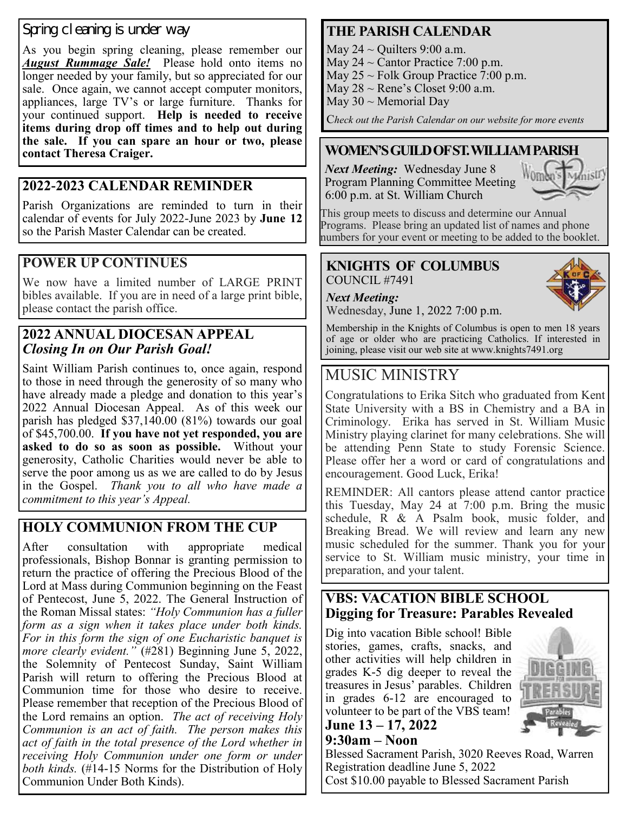## Spring cleaning is under way

As you begin spring cleaning, please remember our *August Rummage Sale!* Please hold onto items no longer needed by your family, but so appreciated for our sale. Once again, we cannot accept computer monitors, appliances, large TV's or large furniture. Thanks for your continued support. **Help is needed to receive items during drop off times and to help out during the sale. If you can spare an hour or two, please contact Theresa Craiger.**

## **2022-2023 CALENDAR REMINDER**

Parish Organizations are reminded to turn in their calendar of events for July 2022-June 2023 by **June 12**  so the Parish Master Calendar can be created.

## **POWER UP CONTINUES**

We now have a limited number of LARGE PRINT bibles available. If you are in need of a large print bible, please contact the parish office.

## **2022 ANNUAL DIOCESAN APPEAL** *Closing In on Our Parish Goal!*

Saint William Parish continues to, once again, respond to those in need through the generosity of so many who have already made a pledge and donation to this year's 2022 Annual Diocesan Appeal. As of this week our parish has pledged \$37,140.00 (81%) towards our goal of \$45,700.00. **If you have not yet responded, you are asked to do so as soon as possible.** Without your generosity, Catholic Charities would never be able to serve the poor among us as we are called to do by Jesus in the Gospel. *Thank you to all who have made a commitment to this year's Appeal.*

## **HOLY COMMUNION FROM THE CUP**

After consultation with appropriate medical professionals, Bishop Bonnar is granting permission to return the practice of offering the Precious Blood of the Lord at Mass during Communion beginning on the Feast of Pentecost, June 5, 2022. The General Instruction of the Roman Missal states: *"Holy Communion has a fuller form as a sign when it takes place under both kinds. For in this form the sign of one Eucharistic banquet is more clearly evident."* (#281) Beginning June 5, 2022, the Solemnity of Pentecost Sunday, Saint William Parish will return to offering the Precious Blood at Communion time for those who desire to receive. Please remember that reception of the Precious Blood of the Lord remains an option. *The act of receiving Holy Communion is an act of faith. The person makes this act of faith in the total presence of the Lord whether in receiving Holy Communion under one form or under both kinds.* (#14-15 Norms for the Distribution of Holy Communion Under Both Kinds).

## **THE PARISH CALENDAR**

May 24  $\sim$  Quilters 9:00 a.m.

May 24  $\sim$  Cantor Practice 7:00 p.m.

May  $25 \sim$  Folk Group Practice 7:00 p.m.

May  $28 \sim$  Rene's Closet 9:00 a.m.

May  $30 \sim$  Memorial Day

C*heck out the Parish Calendar on our website for more events*

## **WOMEN'S GUILD OF ST. WILLIAM PARISH**

*Next Meeting:* Wednesday June 8 Program Planning Committee Meeting 6:00 p.m. at St. William Church



This group meets to discuss and determine our Annual Programs. Please bring an updated list of names and phone numbers for your event or meeting to be added to the booklet.

#### **KNIGHTS OF COLUMBUS** COUNCIL #7491

*Next Meeting:*

Wednesday, June 1, 2022 7:00 p.m.

Membership in the Knights of Columbus is open to men 18 years of age or older who are practicing Catholics. If interested in joining, please visit our web site at www.knights7491.org

## MUSIC MINISTRY

Congratulations to Erika Sitch who graduated from Kent State University with a BS in Chemistry and a BA in Criminology. Erika has served in St. William Music Ministry playing clarinet for many celebrations. She will be attending Penn State to study Forensic Science. Please offer her a word or card of congratulations and encouragement. Good Luck, Erika!

REMINDER: All cantors please attend cantor practice this Tuesday, May 24 at 7:00 p.m. Bring the music schedule, R & A Psalm book, music folder, and Breaking Bread. We will review and learn any new music scheduled for the summer. Thank you for your service to St. William music ministry, your time in preparation, and your talent.

## **VBS: VACATION BIBLE SCHOOL Digging for Treasure: Parables Revealed**

Dig into vacation Bible school! Bible stories, games, crafts, snacks, and other activities will help children in grades K-5 dig deeper to reveal the treasures in Jesus' parables. Children in grades 6-12 are encouraged to volunteer to be part of the VBS team! **June 13 – 17, 2022**



# **9:30am – Noon**

Blessed Sacrament Parish, 3020 Reeves Road, Warren Registration deadline June 5, 2022 Cost \$10.00 payable to Blessed Sacrament Parish